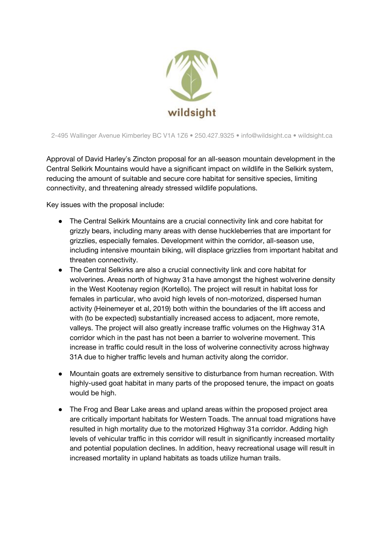

2-495 Wallinger Avenue Kimberley BC V1A 1Z6 • 250.427.9325 • info@wildsight.ca • wildsight.ca

Approval of David Harley's Zincton proposal for an all-season mountain development in the Central Selkirk Mountains would have a significant impact on wildlife in the Selkirk system, reducing the amount of suitable and secure core habitat for sensitive species, limiting connectivity, and threatening already stressed wildlife populations.

Key issues with the proposal include:

- The Central Selkirk Mountains are a crucial connectivity link and core habitat for grizzly bears, including many areas with dense huckleberries that are important for grizzlies, especially females. Development within the corridor, all-season use, including intensive mountain biking, will displace grizzlies from important habitat and threaten connectivity.
- The Central Selkirks are also a crucial connectivity link and core habitat for wolverines. Areas north of highway 31a have amongst the highest wolverine density in the West Kootenay region (Kortello). The project will result in habitat loss for females in particular, who avoid high levels of non-motorized, dispersed human activity (Heinemeyer et al, 2019) both within the boundaries of the lift access and with (to be expected) substantially increased access to adjacent, more remote, valleys. The project will also greatly increase traffic volumes on the Highway 31A corridor which in the past has not been a barrier to wolverine movement. This increase in traffic could result in the loss of wolverine connectivity across highway 31A due to higher traffic levels and human activity along the corridor.
- Mountain goats are extremely sensitive to disturbance from human recreation. With highly-used goat habitat in many parts of the proposed tenure, the impact on goats would be high.
- The Frog and Bear Lake areas and upland areas within the proposed project area are critically important habitats for Western Toads. The annual toad migrations have resulted in high mortality due to the motorized Highway 31a corridor. Adding high levels of vehicular traffic in this corridor will result in significantly increased mortality and potential population declines. In addition, heavy recreational usage will result in increased mortality in upland habitats as toads utilize human trails.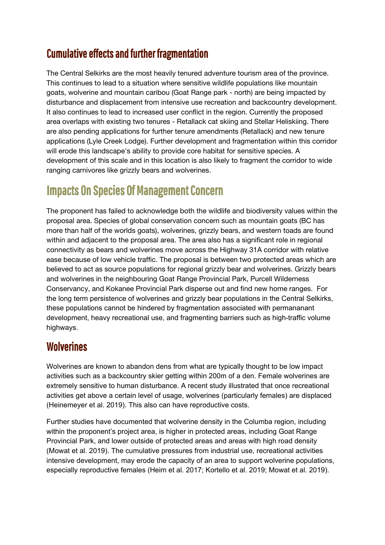## **Cumulative effects and further fragmentation**

The Central Selkirks are the most heavily tenured adventure tourism area of the province. This continues to lead to a situation where sensitive wildlife populations like mountain goats, wolverine and mountain caribou (Goat Range park - north) are being impacted by disturbance and displacement from intensive use recreation and backcountry development. It also continues to lead to increased user conflict in the region. Currently the proposed area overlaps with existing two tenures - Retallack cat skiing and Stellar Heliskiing. There are also pending applications for further tenure amendments (Retallack) and new tenure applications (Lyle Creek Lodge). Further development and fragmentation within this corridor will erode this landscape's ability to provide core habitat for sensitive species. A development of this scale and in this location is also likely to fragment the corridor to wide ranging carnivores like grizzly bears and wolverines.

# **Impacts On Species Of Management Concern**

The proponent has failed to acknowledge both the wildlife and biodiversity values within the proposal area. Species of global conservation concern such as mountain goats (BC has more than half of the worlds goats), wolverines, grizzly bears, and western toads are found within and adjacent to the proposal area. The area also has a significant role in regional connectivity as bears and wolverines move across the Highway 31A corridor with relative ease because of low vehicle traffic. The proposal is between two protected areas which are believed to act as source populations for regional grizzly bear and wolverines. Grizzly bears and wolverines in the neighbouring Goat Range Provincial Park, Purcell Wilderness Conservancy, and Kokanee Provincial Park disperse out and find new home ranges. For the long term persistence of wolverines and grizzly bear populations in the Central Selkirks, these populations cannot be hindered by fragmentation associated with permananant development, heavy recreational use, and fragmenting barriers such as high-traffic volume highways.

#### **Wolverines**

Wolverines are known to abandon dens from what are typically thought to be low impact activities such as a backcountry skier getting within 200m of a den. Female wolverines are extremely sensitive to human disturbance. A recent study illustrated that once recreational activities get above a certain level of usage, wolverines (particularly females) are displaced (Heinemeyer et al. 2019). This also can have reproductive costs.

Further studies have documented that wolverine density in the Columba region, including within the proponent's project area, is higher in protected areas, including Goat Range Provincial Park, and lower outside of protected areas and areas with high road density (Mowat et al. 2019). The cumulative pressures from industrial use, recreational activities intensive development, may erode the capacity of an area to support wolverine populations, especially reproductive females (Heim et al. 2017; Kortello et al. 2019; Mowat et al. 2019).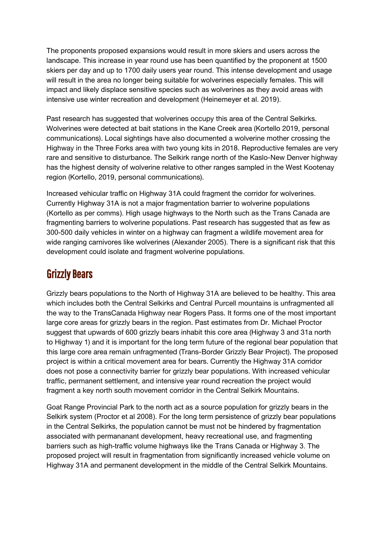The proponents proposed expansions would result in more skiers and users across the landscape. This increase in year round use has been quantified by the proponent at 1500 skiers per day and up to 1700 daily users year round. This intense development and usage will result in the area no longer being suitable for wolverines especially females. This will impact and likely displace sensitive species such as wolverines as they avoid areas with intensive use winter recreation and development (Heinemeyer et al. 2019).

Past research has suggested that wolverines occupy this area of the Central Selkirks. Wolverines were detected at bait stations in the Kane Creek area (Kortello 2019, personal communications). Local sightings have also documented a wolverine mother crossing the Highway in the Three Forks area with two young kits in 2018. Reproductive females are very rare and sensitive to disturbance. The Selkirk range north of the Kaslo-New Denver highway has the highest density of wolverine relative to other ranges sampled in the West Kootenay region (Kortello, 2019, personal communications).

Increased vehicular traffic on Highway 31A could fragment the corridor for wolverines. Currently Highway 31A is not a major fragmentation barrier to wolverine populations (Kortello as per comms). High usage highways to the North such as the Trans Canada are fragmenting barriers to wolverine populations. Past research has suggested that as few as 300-500 daily vehicles in winter on a highway can fragment a wildlife movement area for wide ranging carnivores like wolverines (Alexander 2005). There is a significant risk that this development could isolate and fragment wolverine populations.

### **Grizzly Bears**

Grizzly bears populations to the North of Highway 31A are believed to be healthy. This area which includes both the Central Selkirks and Central Purcell mountains is unfragmented all the way to the TransCanada Highway near Rogers Pass. It forms one of the most important large core areas for grizzly bears in the region. Past estimates from Dr. Michael Proctor suggest that upwards of 600 grizzly bears inhabit this core area (Highway 3 and 31a north to Highway 1) and it is important for the long term future of the regional bear population that this large core area remain unfragmented (Trans-Border Grizzly Bear Project). The proposed project is within a critical movement area for bears. Currently the Highway 31A corridor does not pose a connectivity barrier for grizzly bear populations. With increased vehicular traffic, permanent settlement, and intensive year round recreation the project would fragment a key north south movement corridor in the Central Selkirk Mountains.

Goat Range Provincial Park to the north act as a source population for grizzly bears in the Selkirk system (Proctor et al 2008). For the long term persistence of grizzly bear populations in the Central Selkirks, the population cannot be must not be hindered by fragmentation associated with permananant development, heavy recreational use, and fragmenting barriers such as high-traffic volume highways like the Trans Canada or Highway 3. The proposed project will result in fragmentation from significantly increased vehicle volume on Highway 31A and permanent development in the middle of the Central Selkirk Mountains.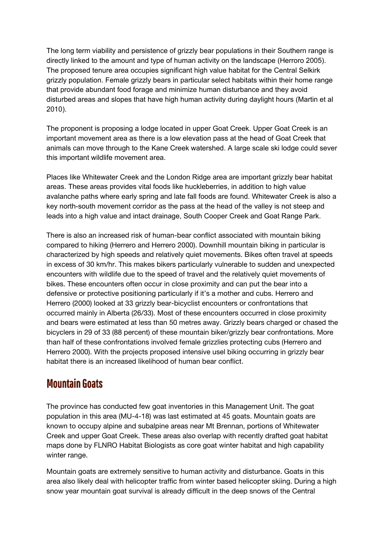The long term viability and persistence of grizzly bear populations in their Southern range is directly linked to the amount and type of human activity on the landscape (Herroro 2005). The proposed tenure area occupies significant high value habitat for the Central Selkirk grizzly population. Female grizzly bears in particular select habitats within their home range that provide abundant food forage and minimize human disturbance and they avoid disturbed areas and slopes that have high human activity during daylight hours (Martin et al 2010).

The proponent is proposing a lodge located in upper Goat Creek. Upper Goat Creek is an important movement area as there is a low elevation pass at the head of Goat Creek that animals can move through to the Kane Creek watershed. A large scale ski lodge could sever this important wildlife movement area.

Places like Whitewater Creek and the London Ridge area are important grizzly bear habitat areas. These areas provides vital foods like huckleberries, in addition to high value avalanche paths where early spring and late fall foods are found. Whitewater Creek is also a key north-south movement corridor as the pass at the head of the valley is not steep and leads into a high value and intact drainage, South Cooper Creek and Goat Range Park.

There is also an increased risk of human-bear conflict associated with mountain biking compared to hiking (Herrero and Herrero 2000). Downhill mountain biking in particular is characterized by high speeds and relatively quiet movements. Bikes often travel at speeds in excess of 30 km/hr. This makes bikers particularly vulnerable to sudden and unexpected encounters with wildlife due to the speed of travel and the relatively quiet movements of bikes. These encounters often occur in close proximity and can put the bear into a defensive or protective positioning particularly if it's a mother and cubs. Herrero and Herrero (2000) looked at 33 grizzly bear-bicyclist encounters or confrontations that occurred mainly in Alberta (26/33). Most of these encounters occurred in close proximity and bears were estimated at less than 50 metres away. Grizzly bears charged or chased the bicyclers in 29 of 33 (88 percent) of these mountain biker/grizzly bear confrontations. More than half of these confrontations involved female grizzlies protecting cubs (Herrero and Herrero 2000). With the projects proposed intensive usel biking occurring in grizzly bear habitat there is an increased likelihood of human bear conflict.

## Mountain Goats

The province has conducted few goat inventories in this Management Unit. The goat population in this area (MU-4-18) was last estimated at 45 goats. Mountain goats are known to occupy alpine and subalpine areas near Mt Brennan, portions of Whitewater Creek and upper Goat Creek. These areas also overlap with recently drafted goat habitat maps done by FLNRO Habitat Biologists as core goat winter habitat and high capability winter range.

Mountain goats are extremely sensitive to human activity and disturbance. Goats in this area also likely deal with helicopter traffic from winter based helicopter skiing. During a high snow year mountain goat survival is already difficult in the deep snows of the Central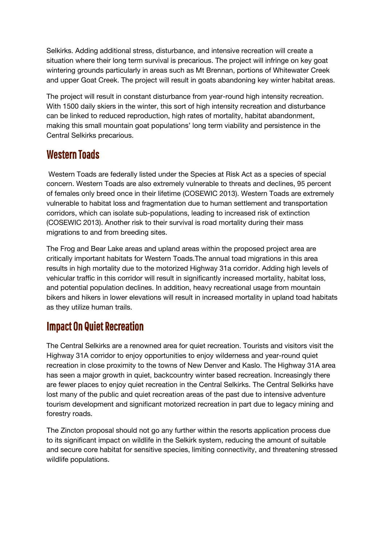Selkirks. Adding additional stress, disturbance, and intensive recreation will create a situation where their long term survival is precarious. The project will infringe on key goat wintering grounds particularly in areas such as Mt Brennan, portions of Whitewater Creek and upper Goat Creek. The project will result in goats abandoning key winter habitat areas.

The project will result in constant disturbance from year-round high intensity recreation. With 1500 daily skiers in the winter, this sort of high intensity recreation and disturbance can be linked to reduced reproduction, high rates of mortality, habitat abandonment, making this small mountain goat populations' long term viability and persistence in the Central Selkirks precarious.

#### Western Toads

Western Toads are federally listed under the Species at Risk Act as a species of special concern. Western Toads are also extremely vulnerable to threats and declines, 95 percent of females only breed once in their lifetime (COSEWIC 2013). Western Toads are extremely vulnerable to habitat loss and fragmentation due to human settlement and transportation corridors, which can isolate sub-populations, leading to increased risk of extinction (COSEWIC 2013). Another risk to their survival is road mortality during their mass migrations to and from breeding sites.

The Frog and Bear Lake areas and upland areas within the proposed project area are critically important habitats for Western Toads.The annual toad migrations in this area results in high mortality due to the motorized Highway 31a corridor. Adding high levels of vehicular traffic in this corridor will result in significantly increased mortality, habitat loss, and potential population declines. In addition, heavy recreational usage from mountain bikers and hikers in lower elevations will result in increased mortality in upland toad habitats as they utilize human trails.

## **Impact On Quiet Recreation**

The Central Selkirks are a renowned area for quiet recreation. Tourists and visitors visit the Highway 31A corridor to enjoy opportunities to enjoy wilderness and year-round quiet recreation in close proximity to the towns of New Denver and Kaslo. The Highway 31A area has seen a major growth in quiet, backcountry winter based recreation. Increasingly there are fewer places to enjoy quiet recreation in the Central Selkirks. The Central Selkirks have lost many of the public and quiet recreation areas of the past due to intensive adventure tourism development and significant motorized recreation in part due to legacy mining and forestry roads.

The Zincton proposal should not go any further within the resorts application process due to its significant impact on wildlife in the Selkirk system, reducing the amount of suitable and secure core habitat for sensitive species, limiting connectivity, and threatening stressed wildlife populations.